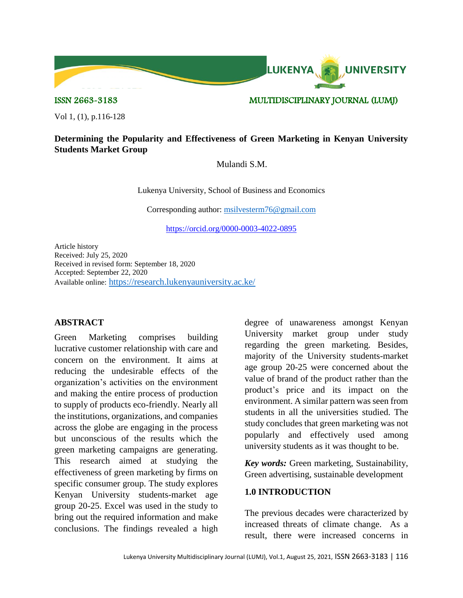

ISSN 2663-3183 MULTIDISCIPLINARY JOURNAL (LUMJ)

Vol 1, (1), p.116-128

## **Determining the Popularity and Effectiveness of Green Marketing in Kenyan University Students Market Group**

Mulandi S.M.

Lukenya University, School of Business and Economics

Corresponding author: [msilvesterm76@gmail.com](mailto:msilvesterm76@gmail.com)

<https://orcid.org/0000-0003-4022-0895>

Article history Received: July 25, 2020 Received in revised form: September 18, 2020 Accepted: September 22, 2020 Available online: <https://research.lukenyauniversity.ac.ke/>

## **ABSTRACT**

Green Marketing comprises building lucrative customer relationship with care and concern on the environment. It aims at reducing the undesirable effects of the organization's activities on the environment and making the entire process of production to supply of products eco-friendly. Nearly all the institutions, organizations, and companies across the globe are engaging in the process but unconscious of the results which the green marketing campaigns are generating. This research aimed at studying the effectiveness of green marketing by firms on specific consumer group. The study explores Kenyan University students-market age group 20-25. Excel was used in the study to bring out the required information and make conclusions. The findings revealed a high

degree of unawareness amongst Kenyan University market group under study regarding the green marketing. Besides, majority of the University students-market age group 20-25 were concerned about the value of brand of the product rather than the product's price and its impact on the environment. A similar pattern was seen from students in all the universities studied. The study concludes that green marketing was not popularly and effectively used among university students as it was thought to be.

*Key words:* Green marketing, Sustainability, Green advertising, sustainable development

# **1.0 INTRODUCTION**

The previous decades were characterized by increased threats of climate change. As a result, there were increased concerns in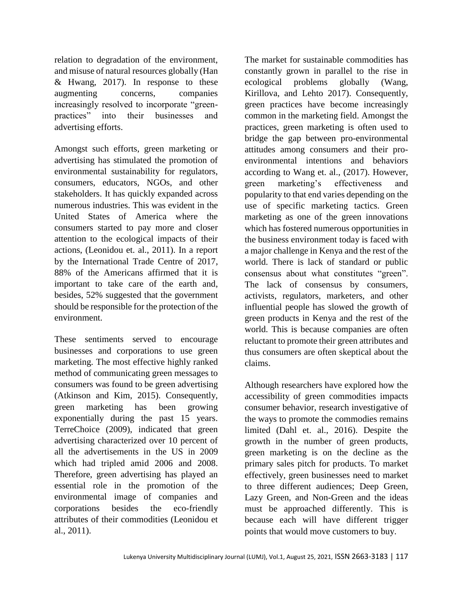relation to degradation of the environment, and misuse of natural resources globally (Han & Hwang, 2017). In response to these augmenting concerns, companies increasingly resolved to incorporate "greenpractices" into their businesses and advertising efforts.

Amongst such efforts, green marketing or advertising has stimulated the promotion of environmental sustainability for regulators, consumers, educators, NGOs, and other stakeholders. It has quickly expanded across numerous industries. This was evident in the United States of America where the consumers started to pay more and closer attention to the ecological impacts of their actions, (Leonidou et. al., 2011). In a report by the International Trade Centre of 2017, 88% of the Americans affirmed that it is important to take care of the earth and, besides, 52% suggested that the government should be responsible for the protection of the environment.

These sentiments served to encourage businesses and corporations to use green marketing. The most effective highly ranked method of communicating green messages to consumers was found to be green advertising (Atkinson and Kim, 2015). Consequently, green marketing has been growing exponentially during the past 15 years. TerreChoice (2009), indicated that green advertising characterized over 10 percent of all the advertisements in the US in 2009 which had tripled amid 2006 and 2008. Therefore, green advertising has played an essential role in the promotion of the environmental image of companies and corporations besides the eco-friendly attributes of their commodities (Leonidou et al., 2011).

The market for sustainable commodities has constantly grown in parallel to the rise in ecological problems globally (Wang, Kirillova, and Lehto 2017). Consequently, green practices have become increasingly common in the marketing field. Amongst the practices, green marketing is often used to bridge the gap between pro-environmental attitudes among consumers and their proenvironmental intentions and behaviors according to Wang et. al., (2017). However, green marketing's effectiveness and popularity to that end varies depending on the use of specific marketing tactics. Green marketing as one of the green innovations which has fostered numerous opportunities in the business environment today is faced with a major challenge in Kenya and the rest of the world. There is lack of standard or public consensus about what constitutes "green". The lack of consensus by consumers, activists, regulators, marketers, and other influential people has slowed the growth of green products in Kenya and the rest of the world. This is because companies are often reluctant to promote their green attributes and thus consumers are often skeptical about the claims.

Although researchers have explored how the accessibility of green commodities impacts consumer behavior, research investigative of the ways to promote the commodies remains limited (Dahl et. al., 2016). Despite the growth in the number of green products, green marketing is on the decline as the primary sales pitch for products. To market effectively, green businesses need to market to three different audiences; Deep Green, Lazy Green, and Non-Green and the ideas must be approached differently. This is because each will have different trigger points that would move customers to buy.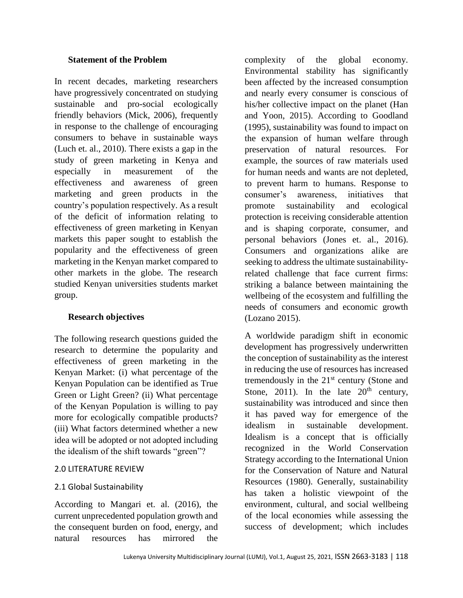## **Statement of the Problem**

In recent decades, marketing researchers have progressively concentrated on studying sustainable and pro-social ecologically friendly behaviors (Mick, 2006), frequently in response to the challenge of encouraging consumers to behave in sustainable ways (Luch et. al., 2010). There exists a gap in the study of green marketing in Kenya and especially in measurement of the effectiveness and awareness of green marketing and green products in the country's population respectively. As a result of the deficit of information relating to effectiveness of green marketing in Kenyan markets this paper sought to establish the popularity and the effectiveness of green marketing in the Kenyan market compared to other markets in the globe. The research studied Kenyan universities students market group.

## **Research objectives**

The following research questions guided the research to determine the popularity and effectiveness of green marketing in the Kenyan Market: (i) what percentage of the Kenyan Population can be identified as True Green or Light Green? (ii) What percentage of the Kenyan Population is willing to pay more for ecologically compatible products? (iii) What factors determined whether a new idea will be adopted or not adopted including the idealism of the shift towards "green"?

## 2.0 LITERATURE REVIEW

## 2.1 Global Sustainability

According to Mangari et. al. (2016), the current unprecedented population growth and the consequent burden on food, energy, and natural resources has mirrored the

complexity of the global economy. Environmental stability has significantly been affected by the increased consumption and nearly every consumer is conscious of his/her collective impact on the planet (Han and Yoon, 2015). According to Goodland (1995), sustainability was found to impact on the expansion of human welfare through preservation of natural resources. For example, the sources of raw materials used for human needs and wants are not depleted, to prevent harm to humans. Response to consumer's awareness, initiatives that promote sustainability and ecological protection is receiving considerable attention and is shaping corporate, consumer, and personal behaviors (Jones et. al., 2016). Consumers and organizations alike are seeking to address the ultimate sustainabilityrelated challenge that face current firms: striking a balance between maintaining the wellbeing of the ecosystem and fulfilling the needs of consumers and economic growth (Lozano 2015).

A worldwide paradigm shift in economic development has progressively underwritten the conception of sustainability as the interest in reducing the use of resources has increased tremendously in the  $21<sup>st</sup>$  century (Stone and Stone, 2011). In the late  $20<sup>th</sup>$  century, sustainability was introduced and since then it has paved way for emergence of the idealism in sustainable development. Idealism is a concept that is officially recognized in the World Conservation Strategy according to the International Union for the Conservation of Nature and Natural Resources (1980). Generally, sustainability has taken a holistic viewpoint of the environment, cultural, and social wellbeing of the local economies while assessing the success of development; which includes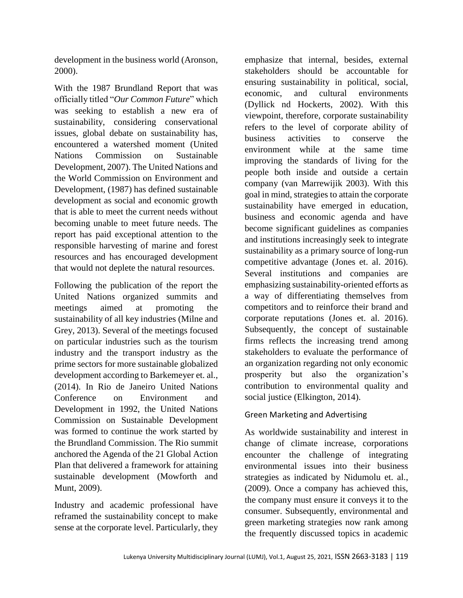development in the business world (Aronson, 2000).

With the 1987 Brundland Report that was officially titled "*Our Common Future*" which was seeking to establish a new era of sustainability, considering conservational issues, global debate on sustainability has, encountered a watershed moment (United Nations Commission on Sustainable Development, 2007). The United Nations and the World Commission on Environment and Development, (1987) has defined sustainable development as social and economic growth that is able to meet the current needs without becoming unable to meet future needs. The report has paid exceptional attention to the responsible harvesting of marine and forest resources and has encouraged development that would not deplete the natural resources.

Following the publication of the report the United Nations organized summits and meetings aimed at promoting the sustainability of all key industries (Milne and Grey, 2013). Several of the meetings focused on particular industries such as the tourism industry and the transport industry as the prime sectors for more sustainable globalized development according to Barkemeyer et. al., (2014). In Rio de Janeiro United Nations Conference on Environment and Development in 1992, the United Nations Commission on Sustainable Development was formed to continue the work started by the Brundland Commission. The Rio summit anchored the Agenda of the 21 Global Action Plan that delivered a framework for attaining sustainable development (Mowforth and Munt, 2009).

Industry and academic professional have reframed the sustainability concept to make sense at the corporate level. Particularly, they

emphasize that internal, besides, external stakeholders should be accountable for ensuring sustainability in political, social, economic, and cultural environments (Dyllick nd Hockerts, 2002). With this viewpoint, therefore, corporate sustainability refers to the level of corporate ability of business activities to conserve the environment while at the same time improving the standards of living for the people both inside and outside a certain company (van Marrewijik 2003). With this goal in mind, strategies to attain the corporate sustainability have emerged in education, business and economic agenda and have become significant guidelines as companies and institutions increasingly seek to integrate sustainability as a primary source of long-run competitive advantage (Jones et. al. 2016). Several institutions and companies are emphasizing sustainability-oriented efforts as a way of differentiating themselves from competitors and to reinforce their brand and corporate reputations (Jones et. al. 2016). Subsequently, the concept of sustainable firms reflects the increasing trend among stakeholders to evaluate the performance of an organization regarding not only economic prosperity but also the organization's contribution to environmental quality and social justice (Elkington, 2014).

# Green Marketing and Advertising

As worldwide sustainability and interest in change of climate increase, corporations encounter the challenge of integrating environmental issues into their business strategies as indicated by Nidumolu et. al., (2009). Once a company has achieved this, the company must ensure it conveys it to the consumer. Subsequently, environmental and green marketing strategies now rank among the frequently discussed topics in academic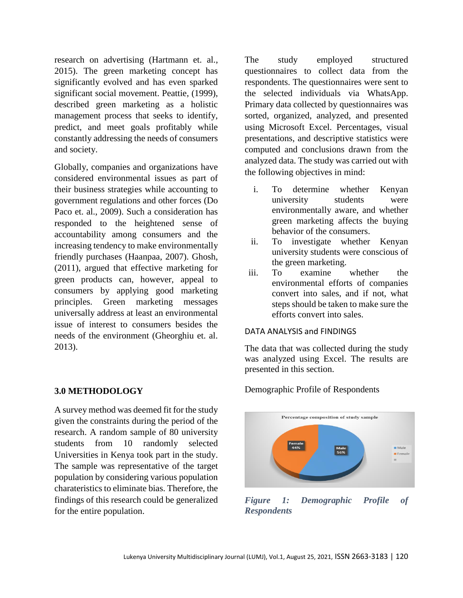research on advertising (Hartmann et. al., 2015). The green marketing concept has significantly evolved and has even sparked significant social movement. Peattie, (1999), described green marketing as a holistic management process that seeks to identify, predict, and meet goals profitably while constantly addressing the needs of consumers and society.

Globally, companies and organizations have considered environmental issues as part of their business strategies while accounting to government regulations and other forces (Do Paco et. al., 2009). Such a consideration has responded to the heightened sense of accountability among consumers and the increasing tendency to make environmentally friendly purchases (Haanpaa, 2007). Ghosh, (2011), argued that effective marketing for green products can, however, appeal to consumers by applying good marketing principles. Green marketing messages universally address at least an environmental issue of interest to consumers besides the needs of the environment (Gheorghiu et. al. 2013).

## **3.0 METHODOLOGY**

A survey method was deemed fit for the study given the constraints during the period of the research. A random sample of 80 university students from 10 randomly selected Universities in Kenya took part in the study. The sample was representative of the target population by considering various population charateristics to eliminate bias. Therefore, the findings of this research could be generalized for the entire population.

The study employed structured questionnaires to collect data from the respondents. The questionnaires were sent to the selected individuals via WhatsApp. Primary data collected by questionnaires was sorted, organized, analyzed, and presented using Microsoft Excel. Percentages, visual presentations, and descriptive statistics were computed and conclusions drawn from the analyzed data. The study was carried out with the following objectives in mind:

- i. To determine whether Kenyan university students were environmentally aware, and whether green marketing affects the buying behavior of the consumers.
- ii. To investigate whether Kenyan university students were conscious of the green marketing.
- iii. To examine whether the environmental efforts of companies convert into sales, and if not, what steps should be taken to make sure the efforts convert into sales.

#### DATA ANALYSIS and FINDINGS

The data that was collected during the study was analyzed using Excel. The results are presented in this section.



Demographic Profile of Respondents

*Figure 1: Demographic Profile of Respondents*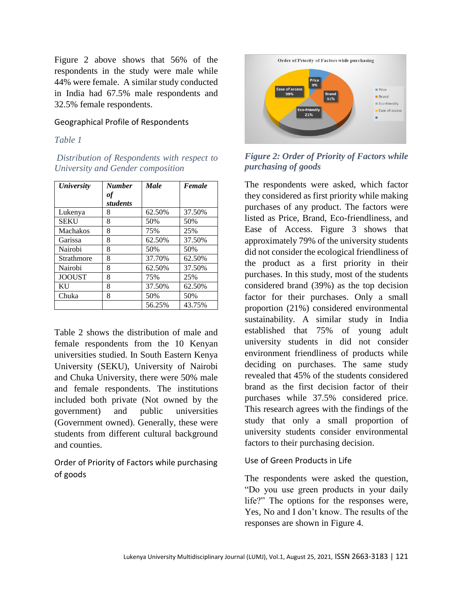Figure 2 above shows that 56% of the respondents in the study were male while 44% were female. A similar study conducted in India had 67.5% male respondents and 32.5% female respondents.

### Geographical Profile of Respondents

#### *Table 1*

*Distribution of Respondents with respect to University and Gender composition*

| <b>University</b> | <b>Number</b> | <b>Male</b> | Female |
|-------------------|---------------|-------------|--------|
|                   | оf            |             |        |
|                   | students      |             |        |
| Lukenya           | 8             | 62.50%      | 37.50% |
| <b>SEKU</b>       | 8             | 50%         | 50%    |
| <b>Machakos</b>   | 8             | 75%         | 25%    |
| Garissa           | 8             | 62.50%      | 37.50% |
| Nairobi           | 8             | 50%         | 50%    |
| Strathmore        | 8             | 37.70%      | 62.50% |
| Nairobi           | 8             | 62.50%      | 37.50% |
| <b>JOOUST</b>     | 8             | 75%         | 25%    |
| KU                | 8             | 37.50%      | 62.50% |
| Chuka             | 8             | 50%         | 50%    |
|                   |               | 56.25%      | 43.75% |

Table 2 shows the distribution of male and female respondents from the 10 Kenyan universities studied. In South Eastern Kenya University (SEKU), University of Nairobi and Chuka University, there were 50% male and female respondents. The institutions included both private (Not owned by the government) and public universities (Government owned). Generally, these were students from different cultural background and counties.

Order of Priority of Factors while purchasing of goods



*Figure 2: Order of Priority of Factors while purchasing of goods*

The respondents were asked, which factor they considered as first priority while making purchases of any product. The factors were listed as Price, Brand, Eco-friendliness, and Ease of Access. Figure 3 shows that approximately 79% of the university students did not consider the ecological friendliness of the product as a first priority in their purchases. In this study, most of the students considered brand (39%) as the top decision factor for their purchases. Only a small proportion (21%) considered environmental sustainability. A similar study in India established that 75% of young adult university students in did not consider environment friendliness of products while deciding on purchases. The same study revealed that 45% of the students considered brand as the first decision factor of their purchases while 37.5% considered price. This research agrees with the findings of the study that only a small proportion of university students consider environmental factors to their purchasing decision.

#### Use of Green Products in Life

The respondents were asked the question, "Do you use green products in your daily life?" The options for the responses were, Yes, No and I don't know. The results of the responses are shown in Figure 4.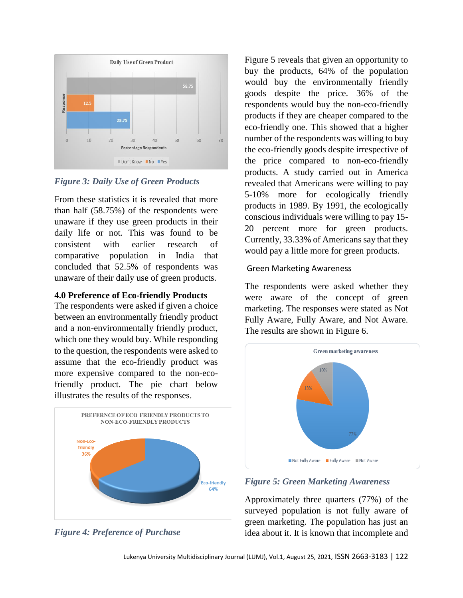

# *Figure 3: Daily Use of Green Products*

From these statistics it is revealed that more than half (58.75%) of the respondents were unaware if they use green products in their daily life or not. This was found to be consistent with earlier research of comparative population in India that concluded that 52.5% of respondents was unaware of their daily use of green products.

## **4.0 Preference of Eco-friendly Products**

The respondents were asked if given a choice between an environmentally friendly product and a non-environmentally friendly product, which one they would buy. While responding to the question, the respondents were asked to assume that the eco-friendly product was more expensive compared to the non-ecofriendly product. The pie chart below illustrates the results of the responses.





Figure 5 reveals that given an opportunity to buy the products, 64% of the population would buy the environmentally friendly goods despite the price. 36% of the respondents would buy the non-eco-friendly products if they are cheaper compared to the eco-friendly one. This showed that a higher number of the respondents was willing to buy the eco-friendly goods despite irrespective of the price compared to non-eco-friendly products. A study carried out in America revealed that Americans were willing to pay 5-10% more for ecologically friendly products in 1989. By 1991, the ecologically conscious individuals were willing to pay 15- 20 percent more for green products. Currently, 33.33% of Americans say that they would pay a little more for green products.

## Green Marketing Awareness

The respondents were asked whether they were aware of the concept of green marketing. The responses were stated as Not Fully Aware, Fully Aware, and Not Aware. The results are shown in Figure 6.



## *Figure 5: Green Marketing Awareness*

Approximately three quarters (77%) of the surveyed population is not fully aware of green marketing. The population has just an idea about it. It is known that incomplete and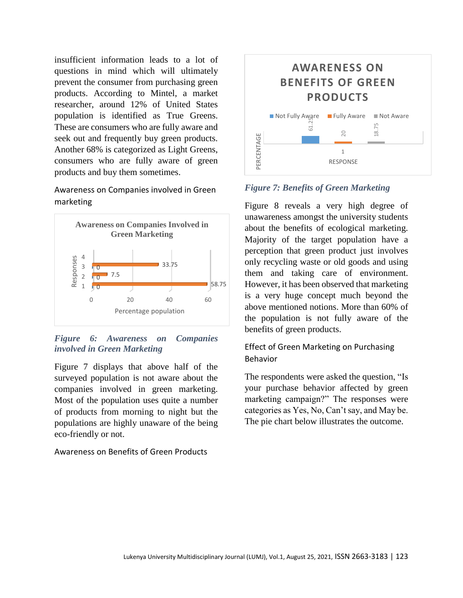insufficient information leads to a lot of questions in mind which will ultimately prevent the consumer from purchasing green products. According to Mintel, a market researcher, around 12% of United States population is identified as True Greens. These are consumers who are fully aware and seek out and frequently buy green products. Another 68% is categorized as Light Greens, consumers who are fully aware of green products and buy them sometimes.

Awareness on Companies involved in Green marketing



*Figure 6: Awareness on Companies involved in Green Marketing*

Figure 7 displays that above half of the surveyed population is not aware about the companies involved in green marketing. Most of the population uses quite a number of products from morning to night but the populations are highly unaware of the being eco-friendly or not.

Awareness on Benefits of Green Products



*Figure 7: Benefits of Green Marketing*

Figure 8 reveals a very high degree of unawareness amongst the university students about the benefits of ecological marketing. Majority of the target population have a perception that green product just involves only recycling waste or old goods and using them and taking care of environment. However, it has been observed that marketing is a very huge concept much beyond the above mentioned notions. More than 60% of the population is not fully aware of the benefits of green products.

# Effect of Green Marketing on Purchasing Behavior

The respondents were asked the question, "Is your purchase behavior affected by green marketing campaign?" The responses were categories as Yes, No, Can't say, and May be. The pie chart below illustrates the outcome.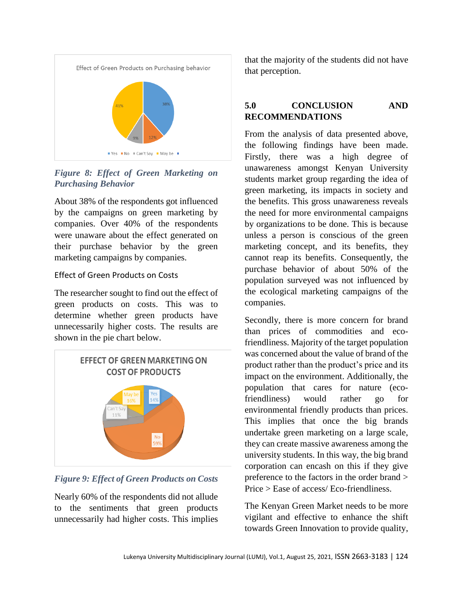

*Figure 8: Effect of Green Marketing on Purchasing Behavior*

About 38% of the respondents got influenced by the campaigns on green marketing by companies. Over 40% of the respondents were unaware about the effect generated on their purchase behavior by the green marketing campaigns by companies.

## Effect of Green Products on Costs

The researcher sought to find out the effect of green products on costs. This was to determine whether green products have unnecessarily higher costs. The results are shown in the pie chart below.



## *Figure 9: Effect of Green Products on Costs*

Nearly 60% of the respondents did not allude to the sentiments that green products unnecessarily had higher costs. This implies

that the majority of the students did not have that perception.

# **5.0 CONCLUSION AND RECOMMENDATIONS**

From the analysis of data presented above, the following findings have been made. Firstly, there was a high degree of unawareness amongst Kenyan University students market group regarding the idea of green marketing, its impacts in society and the benefits. This gross unawareness reveals the need for more environmental campaigns by organizations to be done. This is because unless a person is conscious of the green marketing concept, and its benefits, they cannot reap its benefits. Consequently, the purchase behavior of about 50% of the population surveyed was not influenced by the ecological marketing campaigns of the companies.

Secondly, there is more concern for brand than prices of commodities and ecofriendliness. Majority of the target population was concerned about the value of brand of the product rather than the product's price and its impact on the environment. Additionally, the population that cares for nature (ecofriendliness) would rather go for environmental friendly products than prices. This implies that once the big brands undertake green marketing on a large scale, they can create massive awareness among the university students. In this way, the big brand corporation can encash on this if they give preference to the factors in the order brand > Price > Ease of access/ Eco-friendliness.

The Kenyan Green Market needs to be more vigilant and effective to enhance the shift towards Green Innovation to provide quality,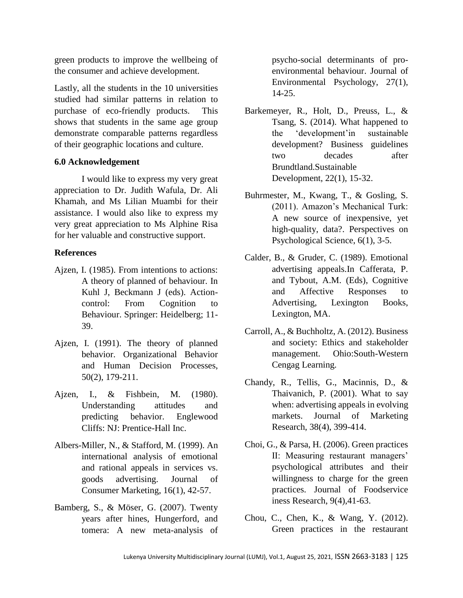green products to improve the wellbeing of the consumer and achieve development.

Lastly, all the students in the 10 universities studied had similar patterns in relation to purchase of eco-friendly products. This shows that students in the same age group demonstrate comparable patterns regardless of their geographic locations and culture.

## **6.0 Acknowledgement**

I would like to express my very great appreciation to Dr. Judith Wafula, Dr. Ali Khamah, and Ms Lilian Muambi for their assistance. I would also like to express my very great appreciation to Ms Alphine Risa for her valuable and constructive support.

#### **References**

- Ajzen, I. (1985). From intentions to actions: A theory of planned of behaviour. In Kuhl J, Beckmann J (eds). Actioncontrol: From Cognition to Behaviour. Springer: Heidelberg; 11- 39.
- Ajzen, I. (1991). The theory of planned behavior. Organizational Behavior and Human Decision Processes, 50(2), 179-211.
- Ajzen, I., & Fishbein, M. (1980). Understanding attitudes and predicting behavior. Englewood Cliffs: NJ: Prentice-Hall Inc.
- Albers-Miller, N., & Stafford, M. (1999). An international analysis of emotional and rational appeals in services vs. goods advertising. Journal of Consumer Marketing, 16(1), 42-57.
- Bamberg, S., & Möser, G. (2007). Twenty years after hines, Hungerford, and tomera: A new meta-analysis of

psycho-social determinants of proenvironmental behaviour. Journal of Environmental Psychology, 27(1), 14-25.

- Barkemeyer, R., Holt, D., Preuss, L., & Tsang, S. (2014). What happened to the 'development'in sustainable development? Business guidelines two decades after Brundtland.Sustainable Development, 22(1), 15-32.
- Buhrmester, M., Kwang, T., & Gosling, S. (2011). Amazon's Mechanical Turk: A new source of inexpensive, yet high-quality, data?. Perspectives on Psychological Science, 6(1), 3-5.
- Calder, B., & Gruder, C. (1989). Emotional advertising appeals.In Cafferata, P. and Tybout, A.M. (Eds), Cognitive and Affective Responses to Advertising, Lexington Books, Lexington, MA.
- Carroll, A., & Buchholtz, A. (2012). Business and society: Ethics and stakeholder management. Ohio:South-Western Cengag Learning.
- Chandy, R., Tellis, G., Macinnis, D., & Thaivanich, P. (2001). What to say when: advertising appeals in evolving markets. Journal of Marketing Research, 38(4), 399-414.
- Choi, G., & Parsa, H. (2006). Green practices Ⅱ: Measuring restaurant managers' psychological attributes and their willingness to charge for the green practices. Journal of Foodservice iness Research, 9(4),41-63.
- Chou, C., Chen, K., & Wang, Y. (2012). Green practices in the restaurant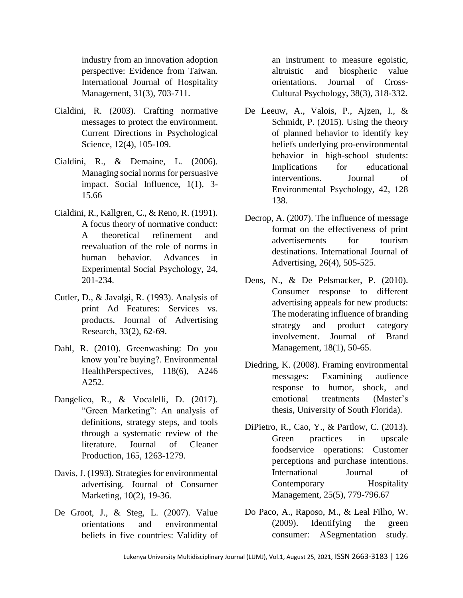industry from an innovation adoption perspective: Evidence from Taiwan. International Journal of Hospitality Management, 31(3), 703-711.

- Cialdini, R. (2003). Crafting normative messages to protect the environment. Current Directions in Psychological Science, 12(4), 105-109.
- Cialdini, R., & Demaine, L. (2006). Managing social norms for persuasive impact. Social Influence, 1(1), 3- 15.66
- Cialdini, R., Kallgren, C., & Reno, R. (1991). A focus theory of normative conduct: A theoretical refinement and reevaluation of the role of norms in human behavior. Advances in Experimental Social Psychology, 24, 201-234.
- Cutler, D., & Javalgi, R. (1993). Analysis of print Ad Features: Services vs. products. Journal of Advertising Research, 33(2), 62-69.
- Dahl, R. (2010). Greenwashing: Do you know you're buying?. Environmental HealthPerspectives, 118(6), A246 A252.
- Dangelico, R., & Vocalelli, D. (2017). "Green Marketing": An analysis of definitions, strategy steps, and tools through a systematic review of the literature. Journal of Cleaner Production, 165, 1263-1279.
- Davis, J. (1993). Strategies for environmental advertising. Journal of Consumer Marketing, 10(2), 19-36.
- De Groot, J., & Steg, L. (2007). Value orientations and environmental beliefs in five countries: Validity of

an instrument to measure egoistic, altruistic and biospheric value orientations. Journal of Cross-Cultural Psychology, 38(3), 318-332.

- De Leeuw, A., Valois, P., Ajzen, I., & Schmidt, P. (2015). Using the theory of planned behavior to identify key beliefs underlying pro-environmental behavior in high-school students: Implications for educational interventions. Journal of Environmental Psychology, 42, 128 138.
- Decrop, A. (2007). The influence of message format on the effectiveness of print advertisements for tourism destinations. International Journal of Advertising, 26(4), 505-525.
- Dens, N., & De Pelsmacker, P. (2010). Consumer response to different advertising appeals for new products: The moderating influence of branding strategy and product category involvement. Journal of Brand Management, 18(1), 50-65.
- Diedring, K. (2008). Framing environmental messages: Examining audience response to humor, shock, and emotional treatments (Master's thesis, University of South Florida).
- DiPietro, R., Cao, Y., & Partlow, C. (2013). Green practices in upscale foodservice operations: Customer perceptions and purchase intentions. International Journal of Contemporary Hospitality Management, 25(5), 779-796.67
- Do Paco, A., Raposo, M., & Leal Filho, W. (2009). Identifying the green consumer: ASegmentation study.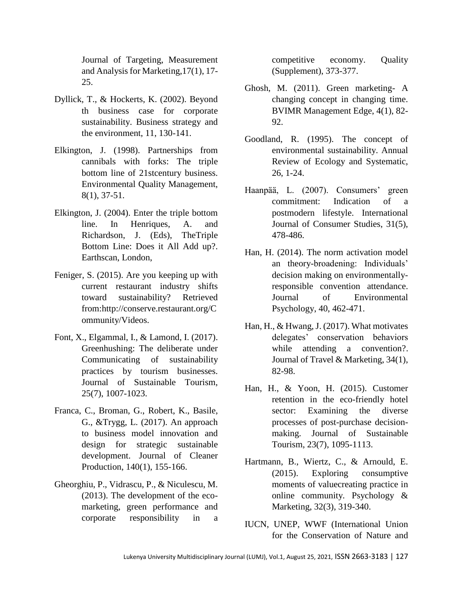Journal of Targeting, Measurement and Analysis for Marketing,17(1), 17- 25.

- Dyllick, T., & Hockerts, K. (2002). Beyond th business case for corporate sustainability. Business strategy and the environment, 11, 130-141.
- Elkington, J. (1998). Partnerships from cannibals with forks: The triple bottom line of 21stcentury business. Environmental Quality Management, 8(1), 37-51.
- Elkington, J. (2004). Enter the triple bottom line. In Henriques, A. and Richardson, J. (Eds), TheTriple Bottom Line: Does it All Add up?. Earthscan, London,
- Feniger, S. (2015). Are you keeping up with current restaurant industry shifts toward sustainability? Retrieved from:http://conserve.restaurant.org/C ommunity/Videos.
- Font, X., Elgammal, I., & Lamond, I. (2017). Greenhushing: The deliberate under Communicating of sustainability practices by tourism businesses. Journal of Sustainable Tourism, 25(7), 1007-1023.
- Franca, C., Broman, G., Robert, K., Basile, G., &Trygg, L. (2017). An approach to business model innovation and design for strategic sustainable development. Journal of Cleaner Production, 140(1), 155-166.
- Gheorghiu, P., Vidrascu, P., & Niculescu, M. (2013). The development of the ecomarketing, green performance and corporate responsibility in a

competitive economy. Quality (Supplement), 373-377.

- Ghosh, M. (2011). Green marketing- A changing concept in changing time. BVIMR Management Edge, 4(1), 82- 92.
- Goodland, R. (1995). The concept of environmental sustainability. Annual Review of Ecology and Systematic, 26, 1-24.
- Haanpää, L. (2007). Consumers' green commitment: Indication of a postmodern lifestyle. International Journal of Consumer Studies, 31(5), 478-486.
- Han, H. (2014). The norm activation model an theory-broadening: Individuals' decision making on environmentallyresponsible convention attendance. Journal of Environmental Psychology, 40, 462-471.
- Han, H., & Hwang, J. (2017). What motivates delegates' conservation behaviors while attending a convention?. Journal of Travel & Marketing, 34(1), 82-98.
- Han, H., & Yoon, H. (2015). Customer retention in the eco-friendly hotel sector: Examining the diverse processes of post-purchase decisionmaking. Journal of Sustainable Tourism, 23(7), 1095-1113.
- Hartmann, B., Wiertz, C., & Arnould, E. (2015). Exploring consumptive moments of valuecreating practice in online community. Psychology & Marketing, 32(3), 319-340.
- IUCN, UNEP, WWF (International Union for the Conservation of Nature and